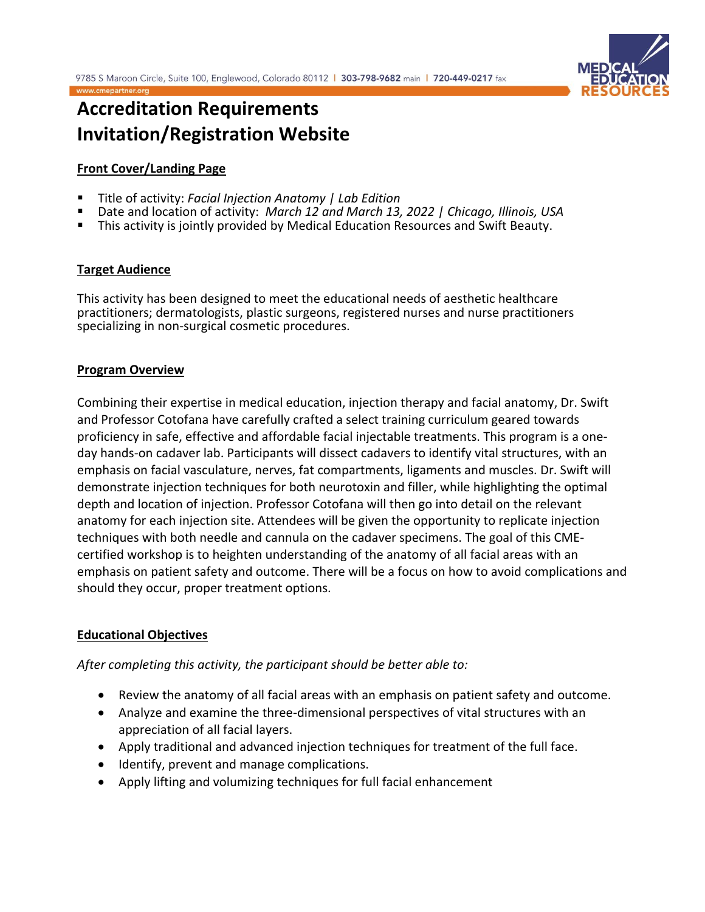

# **Accreditation Requirements Invitation/Registration Website**

# **Front Cover/Landing Page**

- Title of activity: *Facial Injection Anatomy | Lab Edition*
- Date and location of activity: *March 12 and March 13, 2022 | Chicago, Illinois, USA*
- This activity is jointly provided by Medical Education Resources and Swift Beauty.

# **Target Audience**

This activity has been designed to meet the educational needs of aesthetic healthcare practitioners; dermatologists, plastic surgeons, registered nurses and nurse practitioners specializing in non-surgical cosmetic procedures.

# **Program Overview**

Combining their expertise in medical education, injection therapy and facial anatomy, Dr. Swift and Professor Cotofana have carefully crafted a select training curriculum geared towards proficiency in safe, effective and affordable facial injectable treatments. This program is a oneday hands-on cadaver lab. Participants will dissect cadavers to identify vital structures, with an emphasis on facial vasculature, nerves, fat compartments, ligaments and muscles. Dr. Swift will demonstrate injection techniques for both neurotoxin and filler, while highlighting the optimal depth and location of injection. Professor Cotofana will then go into detail on the relevant anatomy for each injection site. Attendees will be given the opportunity to replicate injection techniques with both needle and cannula on the cadaver specimens. The goal of this CMEcertified workshop is to heighten understanding of the anatomy of all facial areas with an emphasis on patient safety and outcome. There will be a focus on how to avoid complications and should they occur, proper treatment options.

### **Educational Objectives**

*After completing this activity, the participant should be better able to:*

- Review the anatomy of all facial areas with an emphasis on patient safety and outcome.
- Analyze and examine the three-dimensional perspectives of vital structures with an appreciation of all facial layers.
- Apply traditional and advanced injection techniques for treatment of the full face.
- Identify, prevent and manage complications.
- Apply lifting and volumizing techniques for full facial enhancement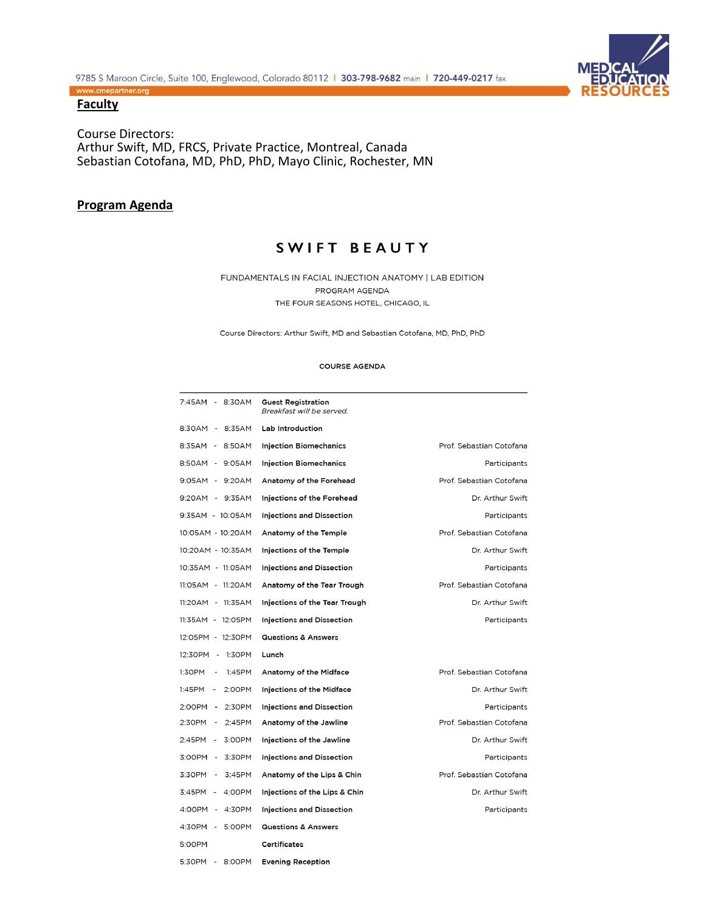

### **Faculty**

Course Directors: Arthur Swift, MD, FRCS, Private Practice, Montreal, Canada Sebastian Cotofana, MD, PhD, PhD, Mayo Clinic, Rochester, MN

# **Program Agenda**

# SWIFT BEAUTY

FUNDAMENTALS IN FACIAL INJECTION ANATOMY | LAB EDITION PROGRAM AGENDA THE FOUR SEASONS HOTEL, CHICAGO, IL

Course Directors: Arthur Swift, MD and Sebastian Cotofana, MD, PhD, PhD

#### **COURSE AGENDA**

| 7:45AM - 8:30AM      | <b>Guest Registration</b><br>Breakfast will be served. |                          |
|----------------------|--------------------------------------------------------|--------------------------|
| 8:30AM - 8:35AM      | Lab Introduction                                       |                          |
| 8:35AM - 8:50AM      | <b>Injection Biomechanics</b>                          | Prof. Sebastian Cotofana |
| 8:50AM - 9:05AM      | <b>Injection Biomechanics</b>                          | Participants             |
| 9:05AM - 9:20AM      | Anatomy of the Forehead                                | Prof. Sebastian Cotofana |
| 9:20AM - 9:35AM      | Injections of the Forehead                             | Dr. Arthur Swift         |
| 9:35AM - 10:05AM     | <b>Injections and Dissection</b>                       | Participants             |
| 10:05AM - 10:20AM    | Anatomy of the Temple                                  | Prof. Sebastian Cotofana |
| 10:20AM - 10:35AM    | Injections of the Temple                               | Dr. Arthur Swift         |
| 10:35AM - 11:05AM    | <b>Injections and Dissection</b>                       | Participants             |
| 11:05AM - 11:20AM    | Anatomy of the Tear Trough                             | Prof. Sebastian Cotofana |
| 11:20AM - 11:35AM    | Injections of the Tear Trough                          | Dr. Arthur Swift         |
| 11:35AM - 12:05PM    | <b>Injections and Dissection</b>                       | Participants             |
| 12:05PM - 12:30PM    | <b>Questions &amp; Answers</b>                         |                          |
| 12:30PM - 1:30PM     | Lunch                                                  |                          |
| 1:30PM -<br>1:45PM   | Anatomy of the Midface                                 | Prof. Sebastian Cotofana |
| $1:45PM -$<br>2:00PM | Injections of the Midface                              | Dr. Arthur Swift         |
| 2:00PM - 2:30PM      | <b>Injections and Dissection</b>                       | Participants             |
| 2:30PM -<br>2:45PM   | Anatomy of the Jawline                                 | Prof. Sebastian Cotofana |
| 2:45PM -<br>3:00PM   | Injections of the Jawline                              | Dr. Arthur Swift         |
| 3:00PM - 3:30PM      | <b>Injections and Dissection</b>                       | Participants             |
| 3:30PM - 3:45PM      | Anatomy of the Lips & Chin                             | Prof. Sebastian Cotofana |
| 3:45PM - 4:00PM      | Injections of the Lips & Chin                          | Dr. Arthur Swift         |
| 4:00PM - 4:30PM      | <b>Injections and Dissection</b>                       | Participants             |
| 4:30PM - 5:00PM      | <b>Questions &amp; Answers</b>                         |                          |
| 5:00PM               | Certificates                                           |                          |
| 5:30PM - 8:00PM      | <b>Evening Reception</b>                               |                          |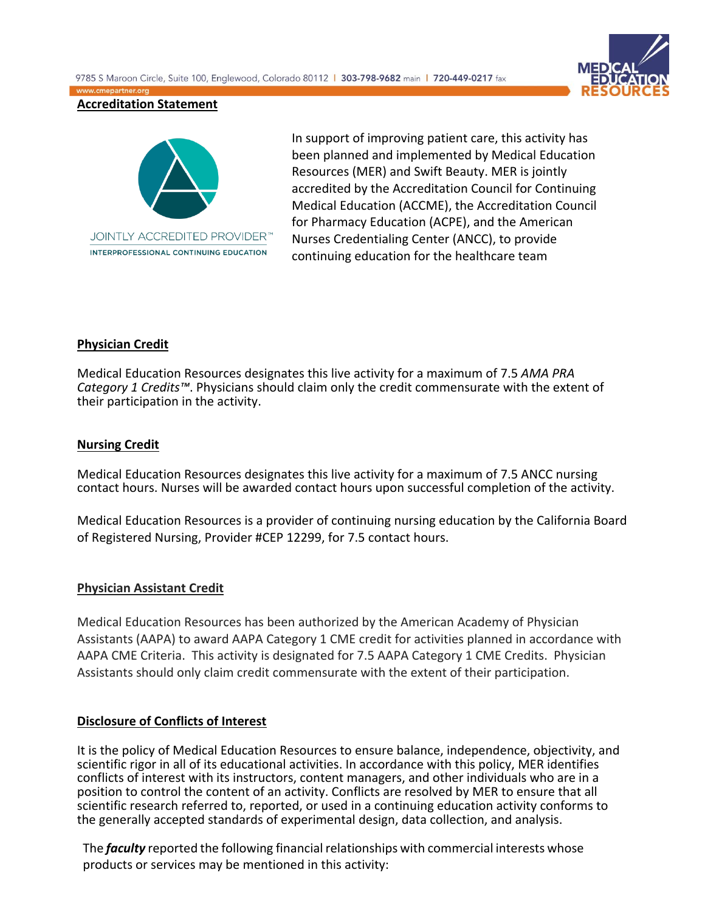9785 S Maroon Circle, Suite 100, Englewood, Colorado 80112 | 303-798-9682 main | 720-449-0217 fax www.cmepartner.org



### **Accreditation Statement**



In support of improving patient care, this activity has been planned and implemented by Medical Education Resources (MER) and Swift Beauty. MER is jointly accredited by the Accreditation Council for Continuing Medical Education (ACCME), the Accreditation Council for Pharmacy Education (ACPE), and the American Nurses Credentialing Center (ANCC), to provide continuing education for the healthcare team

### **Physician Credit**

Medical Education Resources designates this live activity for a maximum of 7.5 *AMA PRA Category 1 Credits™*. Physicians should claim only the credit commensurate with the extent of their participation in the activity.

### **Nursing Credit**

Medical Education Resources designates this live activity for a maximum of 7.5 ANCC nursing contact hours. Nurses will be awarded contact hours upon successful completion of the activity.

Medical Education Resources is a provider of continuing nursing education by the California Board of Registered Nursing, Provider #CEP 12299, for 7.5 contact hours.

### **Physician Assistant Credit**

Medical Education Resources has been authorized by the American Academy of Physician Assistants (AAPA) to award AAPA Category 1 CME credit for activities planned in accordance with AAPA CME Criteria. This activity is designated for 7.5 AAPA Category 1 CME Credits. Physician Assistants should only claim credit commensurate with the extent of their participation.

### **Disclosure of Conflicts of Interest**

It is the policy of Medical Education Resources to ensure balance, independence, objectivity, and scientific rigor in all of its educational activities. In accordance with this policy, MER identifies conflicts of interest with its instructors, content managers, and other individuals who are in a position to control the content of an activity. Conflicts are resolved by MER to ensure that all scientific research referred to, reported, or used in a continuing education activity conforms to the generally accepted standards of experimental design, data collection, and analysis.

The *faculty* reported the following financial relationships with commercial interests whose products or services may be mentioned in this activity: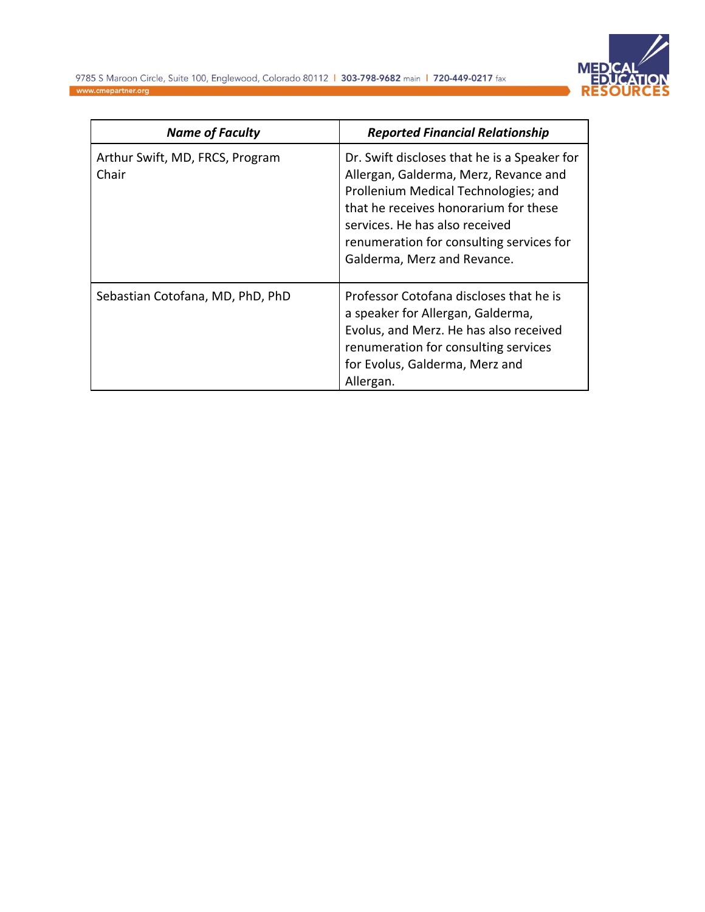

| <b>Name of Faculty</b>                   | <b>Reported Financial Relationship</b>                                                                                                                                                                                                                                              |
|------------------------------------------|-------------------------------------------------------------------------------------------------------------------------------------------------------------------------------------------------------------------------------------------------------------------------------------|
| Arthur Swift, MD, FRCS, Program<br>Chair | Dr. Swift discloses that he is a Speaker for<br>Allergan, Galderma, Merz, Revance and<br>Prollenium Medical Technologies; and<br>that he receives honorarium for these<br>services. He has also received<br>renumeration for consulting services for<br>Galderma, Merz and Revance. |
| Sebastian Cotofana, MD, PhD, PhD         | Professor Cotofana discloses that he is<br>a speaker for Allergan, Galderma,<br>Evolus, and Merz. He has also received<br>renumeration for consulting services<br>for Evolus, Galderma, Merz and<br>Allergan.                                                                       |